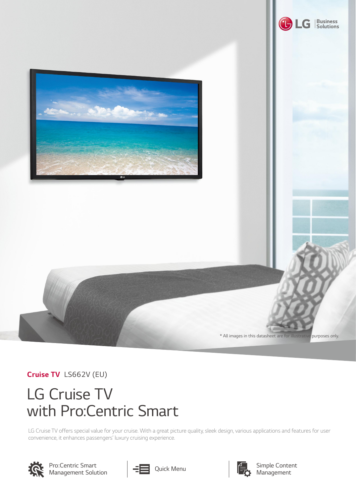

*Cruise TV LS662V (EU)*

## *LG Cruise TV with Pro:Centric Smart*

LG Cruise TV offers special value for your cruise. With a great picture quality, sleek design, various applications and features for user *convenience, it enhances passengers' luxury cruising experience.*



*Pro:Centric Smart Management Solution*



*Quick Menu*



*Simple Content Management*